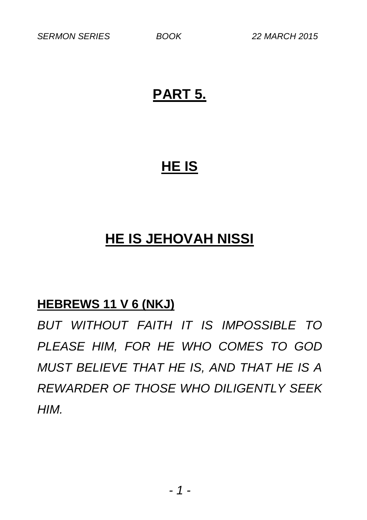### **PART 5.**

## **HE IS**

## **HE IS JEHOVAH NISSI**

#### **HEBREWS 11 V 6 (NKJ)**

*BUT WITHOUT FAITH IT IS IMPOSSIBLE TO PLEASE HIM, FOR HE WHO COMES TO GOD MUST BELIEVE THAT HE IS, AND THAT HE IS A REWARDER OF THOSE WHO DILIGENTLY SEEK HIM.*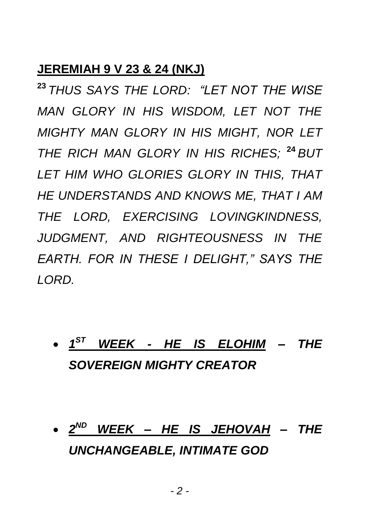#### **JEREMIAH 9 V 23 & 24 (NKJ)**

**<sup>23</sup>** *THUS SAYS THE LORD: "LET NOT THE WISE MAN GLORY IN HIS WISDOM, LET NOT THE MIGHTY MAN GLORY IN HIS MIGHT, NOR LET THE RICH MAN GLORY IN HIS RICHES;* **<sup>24</sup>** *BUT LET HIM WHO GLORIES GLORY IN THIS, THAT HE UNDERSTANDS AND KNOWS ME, THAT I AM THE LORD, EXERCISING LOVINGKINDNESS, JUDGMENT, AND RIGHTEOUSNESS IN THE EARTH. FOR IN THESE I DELIGHT," SAYS THE LORD.*

- *1 ST WEEK - HE IS ELOHIM – THE SOVEREIGN MIGHTY CREATOR*
- *2 ND WEEK – HE IS JEHOVAH – THE UNCHANGEABLE, INTIMATE GOD*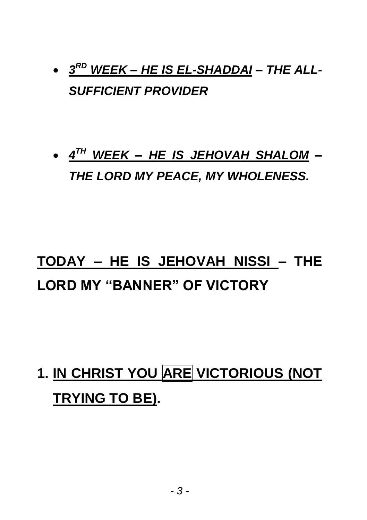## *3 RD WEEK – HE IS EL-SHADDAI – THE ALL-SUFFICIENT PROVIDER*

## *4 TH WEEK – HE IS JEHOVAH SHALOM – THE LORD MY PEACE, MY WHOLENESS.*

## **TODAY – HE IS JEHOVAH NISSI – THE LORD MY "BANNER" OF VICTORY**

# **1. IN CHRIST YOU ARE VICTORIOUS (NOT TRYING TO BE).**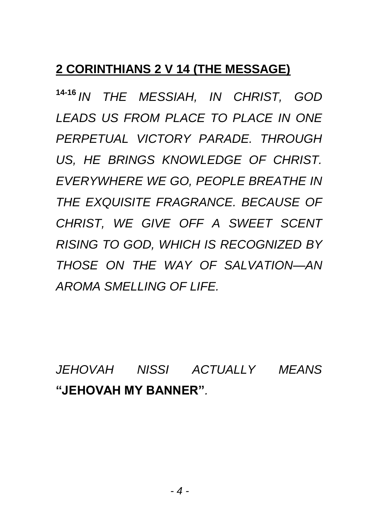#### **2 CORINTHIANS 2 V 14 (THE MESSAGE)**

**14-16** *IN THE MESSIAH, IN CHRIST, GOD LEADS US FROM PLACE TO PLACE IN ONE PERPETUAL VICTORY PARADE. THROUGH US, HE BRINGS KNOWLEDGE OF CHRIST. EVERYWHERE WE GO, PEOPLE BREATHE IN THE EXQUISITE FRAGRANCE. BECAUSE OF CHRIST, WE GIVE OFF A SWEET SCENT RISING TO GOD, WHICH IS RECOGNIZED BY THOSE ON THE WAY OF SALVATION—AN AROMA SMELLING OF LIFE.*

*JEHOVAH NISSI ACTUALLY MEANS*  **"JEHOVAH MY BANNER"***.*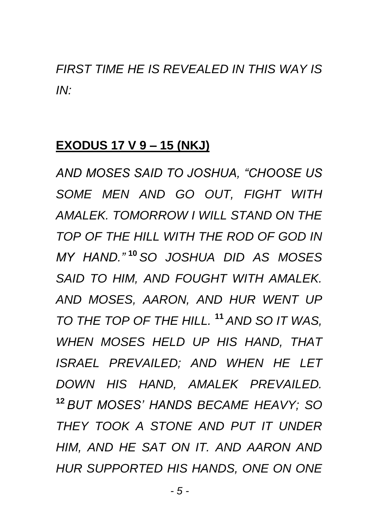*FIRST TIME HE IS REVEALED IN THIS WAY IS IN:*

#### **EXODUS 17 V 9 – 15 (NKJ)**

*AND MOSES SAID TO JOSHUA, "CHOOSE US SOME MEN AND GO OUT, FIGHT WITH AMALEK. TOMORROW I WILL STAND ON THE TOP OF THE HILL WITH THE ROD OF GOD IN MY HAND."* **<sup>10</sup>** *SO JOSHUA DID AS MOSES SAID TO HIM, AND FOUGHT WITH AMALEK. AND MOSES, AARON, AND HUR WENT UP TO THE TOP OF THE HILL.* **<sup>11</sup>** *AND SO IT WAS, WHEN MOSES HELD UP HIS HAND, THAT ISRAEL PREVAILED; AND WHEN HE LET DOWN HIS HAND, AMALEK PREVAILED.*  **<sup>12</sup>** *BUT MOSES' HANDS BECAME HEAVY; SO THEY TOOK A STONE AND PUT IT UNDER HIM, AND HE SAT ON IT. AND AARON AND HUR SUPPORTED HIS HANDS, ONE ON ONE*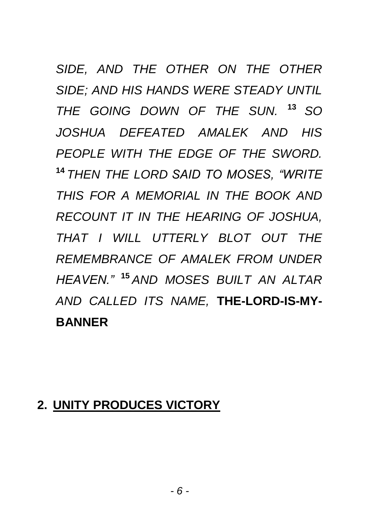*SIDE, AND THE OTHER ON THE OTHER SIDE; AND HIS HANDS WERE STEADY UNTIL THE GOING DOWN OF THE SUN.* **<sup>13</sup>***SO JOSHUA DEFEATED AMALEK AND HIS PEOPLE WITH THE EDGE OF THE SWORD.*  **<sup>14</sup>** *THEN THE LORD SAID TO MOSES, "WRITE THIS FOR A MEMORIAL IN THE BOOK AND RECOUNT IT IN THE HEARING OF JOSHUA, THAT I WILL UTTERLY BLOT OUT THE REMEMBRANCE OF AMALEK FROM UNDER HEAVEN."* **<sup>15</sup>** *AND MOSES BUILT AN ALTAR AND CALLED ITS NAME,* **THE-LORD-IS-MY-BANNER**

#### **2. UNITY PRODUCES VICTORY**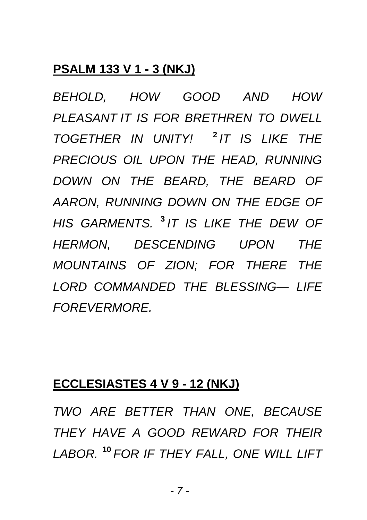#### **PSALM 133 V 1 - 3 (NKJ)**

*BEHOLD, HOW GOOD AND HOW PLEASANT IT IS FOR BRETHREN TO DWELL TOGETHER IN UNITY!* **<sup>2</sup>** *IT IS LIKE THE PRECIOUS OIL UPON THE HEAD, RUNNING DOWN ON THE BEARD, THE BEARD OF AARON, RUNNING DOWN ON THE EDGE OF HIS GARMENTS.* **<sup>3</sup>** *IT IS LIKE THE DEW OF HERMON, DESCENDING UPON THE MOUNTAINS OF ZION; FOR THERE THE LORD COMMANDED THE BLESSING— LIFE FOREVERMORE.*

#### **ECCLESIASTES 4 V 9 - 12 (NKJ)**

*TWO ARE BETTER THAN ONE, BECAUSE THEY HAVE A GOOD REWARD FOR THEIR LABOR.* **<sup>10</sup>** *FOR IF THEY FALL, ONE WILL LIFT*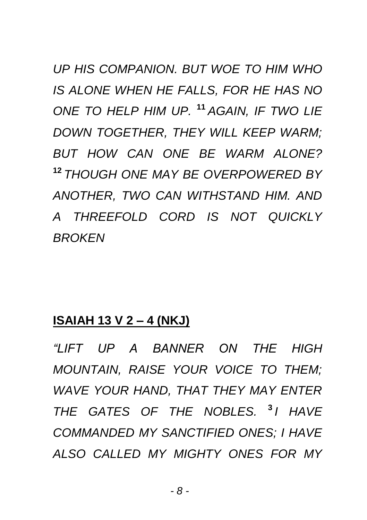*UP HIS COMPANION. BUT WOE TO HIM WHO IS ALONE WHEN HE FALLS, FOR HE HAS NO ONE TO HELP HIM UP.* **<sup>11</sup>** *AGAIN, IF TWO LIE DOWN TOGETHER, THEY WILL KEEP WARM; BUT HOW CAN ONE BE WARM ALONE?*  **<sup>12</sup>** *THOUGH ONE MAY BE OVERPOWERED BY ANOTHER, TWO CAN WITHSTAND HIM. AND A THREEFOLD CORD IS NOT QUICKLY BROKEN*

#### **ISAIAH 13 V 2 – 4 (NKJ)**

*"LIFT UP A BANNER ON THE HIGH MOUNTAIN, RAISE YOUR VOICE TO THEM; WAVE YOUR HAND, THAT THEY MAY ENTER THE GATES OF THE NOBLES.* **<sup>3</sup>** *I HAVE COMMANDED MY SANCTIFIED ONES; I HAVE ALSO CALLED MY MIGHTY ONES FOR MY*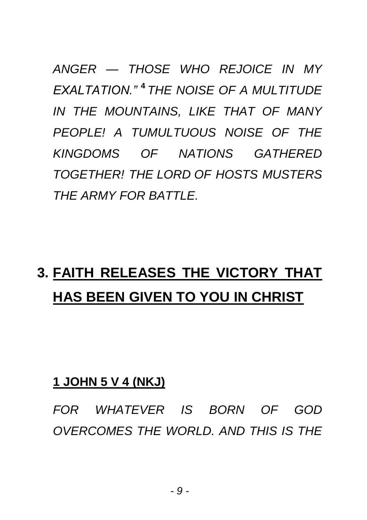*ANGER — THOSE WHO REJOICE IN MY EXALTATION."* **<sup>4</sup>** *THE NOISE OF A MULTITUDE IN THE MOUNTAINS, LIKE THAT OF MANY PEOPLE! A TUMULTUOUS NOISE OF THE KINGDOMS OF NATIONS GATHERED TOGETHER! THE LORD OF HOSTS MUSTERS THE ARMY FOR BATTLE.*

## **3. FAITH RELEASES THE VICTORY THAT HAS BEEN GIVEN TO YOU IN CHRIST**

#### **1 JOHN 5 V 4 (NKJ)**

*FOR WHATEVER IS BORN OF GOD OVERCOMES THE WORLD. AND THIS IS THE*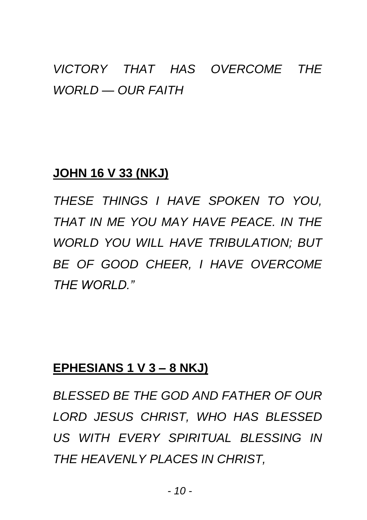### *VICTORY THAT HAS OVERCOME THE WORLD — OUR FAITH*

#### **JOHN 16 V 33 (NKJ)**

*THESE THINGS I HAVE SPOKEN TO YOU, THAT IN ME YOU MAY HAVE PEACE. IN THE WORLD YOU WILL HAVE TRIBULATION; BUT BE OF GOOD CHEER, I HAVE OVERCOME THE WORLD."*

#### **EPHESIANS 1 V 3 – 8 NKJ)**

*BLESSED BE THE GOD AND FATHER OF OUR LORD JESUS CHRIST, WHO HAS BLESSED US WITH EVERY SPIRITUAL BLESSING IN THE HEAVENLY PLACES IN CHRIST,*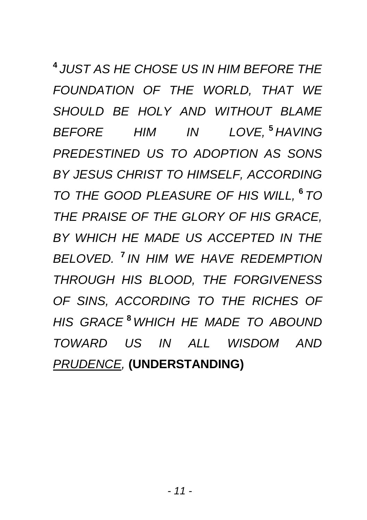**4** *JUST AS HE CHOSE US IN HIM BEFORE THE FOUNDATION OF THE WORLD, THAT WE SHOULD BE HOLY AND WITHOUT BLAME BEFORE HIM IN LOVE,* **<sup>5</sup>** *HAVING PREDESTINED US TO ADOPTION AS SONS BY JESUS CHRIST TO HIMSELF, ACCORDING TO THE GOOD PLEASURE OF HIS WILL,* **<sup>6</sup>** *TO THE PRAISE OF THE GLORY OF HIS GRACE, BY WHICH HE MADE US ACCEPTED IN THE BELOVED.* **7** *IN HIM WE HAVE REDEMPTION THROUGH HIS BLOOD, THE FORGIVENESS OF SINS, ACCORDING TO THE RICHES OF HIS GRACE* **<sup>8</sup>** *WHICH HE MADE TO ABOUND TOWARD US IN ALL WISDOM AND PRUDENCE,* **(UNDERSTANDING)**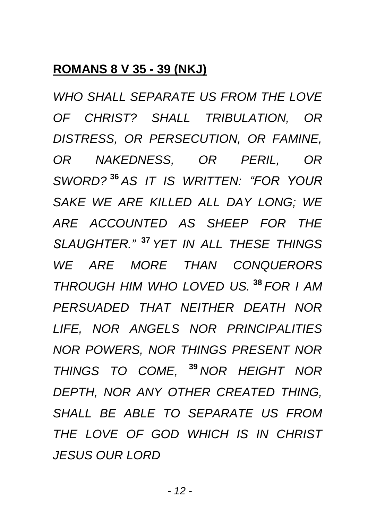#### **ROMANS 8 V 35 - 39 (NKJ)**

*WHO SHALL SEPARATE US FROM THE LOVE OF CHRIST? SHALL TRIBULATION, OR DISTRESS, OR PERSECUTION, OR FAMINE, OR NAKEDNESS, OR PERIL, OR SWORD?* **<sup>36</sup>** *AS IT IS WRITTEN: "FOR YOUR SAKE WE ARE KILLED ALL DAY LONG; WE ARE ACCOUNTED AS SHEEP FOR THE SLAUGHTER."* **<sup>37</sup>** *YET IN ALL THESE THINGS WE ARE MORE THAN CONQUERORS THROUGH HIM WHO LOVED US.* **<sup>38</sup>** *FOR I AM PERSUADED THAT NEITHER DEATH NOR LIFE, NOR ANGELS NOR PRINCIPALITIES NOR POWERS, NOR THINGS PRESENT NOR THINGS TO COME,* **<sup>39</sup>** *NOR HEIGHT NOR DEPTH, NOR ANY OTHER CREATED THING, SHALL BE ABLE TO SEPARATE US FROM THE LOVE OF GOD WHICH IS IN CHRIST JESUS OUR LORD*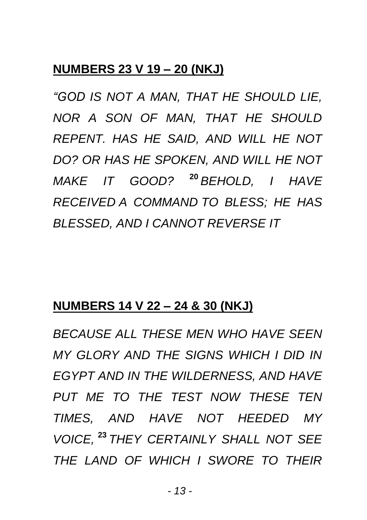#### **NUMBERS 23 V 19 – 20 (NKJ)**

*"GOD IS NOT A MAN, THAT HE SHOULD LIE, NOR A SON OF MAN, THAT HE SHOULD REPENT. HAS HE SAID, AND WILL HE NOT DO? OR HAS HE SPOKEN, AND WILL HE NOT MAKE IT GOOD?* **<sup>20</sup>** *BEHOLD, I HAVE RECEIVED A COMMAND TO BLESS; HE HAS BLESSED, AND I CANNOT REVERSE IT*

#### **NUMBERS 14 V 22 – 24 & 30 (NKJ)**

*BECAUSE ALL THESE MEN WHO HAVE SEEN MY GLORY AND THE SIGNS WHICH I DID IN EGYPT AND IN THE WILDERNESS, AND HAVE PUT ME TO THE TEST NOW THESE TEN TIMES, AND HAVE NOT HEEDED MY VOICE,* **<sup>23</sup>** *THEY CERTAINLY SHALL NOT SEE THE LAND OF WHICH I SWORE TO THEIR*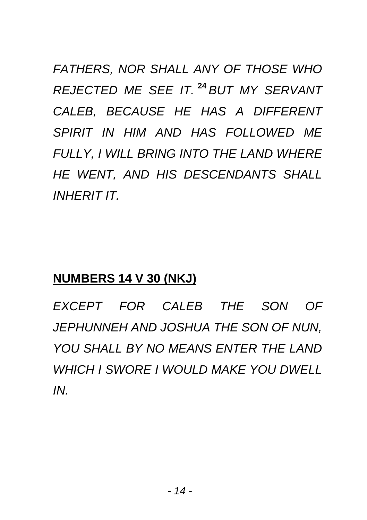*FATHERS, NOR SHALL ANY OF THOSE WHO REJECTED ME SEE IT.* **<sup>24</sup>** *BUT MY SERVANT CALEB, BECAUSE HE HAS A DIFFERENT SPIRIT IN HIM AND HAS FOLLOWED ME FULLY, I WILL BRING INTO THE LAND WHERE HE WENT, AND HIS DESCENDANTS SHALL INHERIT IT.*

#### **NUMBERS 14 V 30 (NKJ)**

*EXCEPT FOR CALEB THE SON OF JEPHUNNEH AND JOSHUA THE SON OF NUN, YOU SHALL BY NO MEANS ENTER THE LAND WHICH I SWORE I WOULD MAKE YOU DWELL IN.*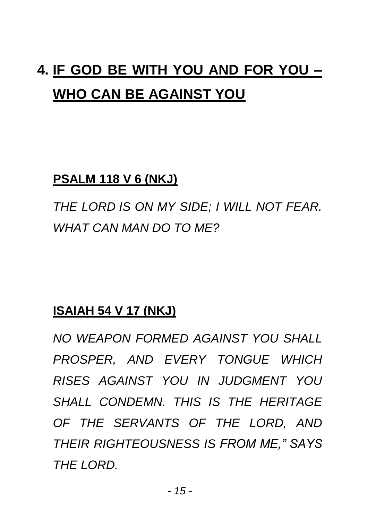## **4. IF GOD BE WITH YOU AND FOR YOU – WHO CAN BE AGAINST YOU**

#### **PSALM 118 V 6 (NKJ)**

*THE LORD IS ON MY SIDE; I WILL NOT FEAR. WHAT CAN MAN DO TO ME?*

#### **ISAIAH 54 V 17 (NKJ)**

*NO WEAPON FORMED AGAINST YOU SHALL PROSPER, AND EVERY TONGUE WHICH RISES AGAINST YOU IN JUDGMENT YOU SHALL CONDEMN. THIS IS THE HERITAGE OF THE SERVANTS OF THE LORD, AND THEIR RIGHTEOUSNESS IS FROM ME," SAYS THE LORD.*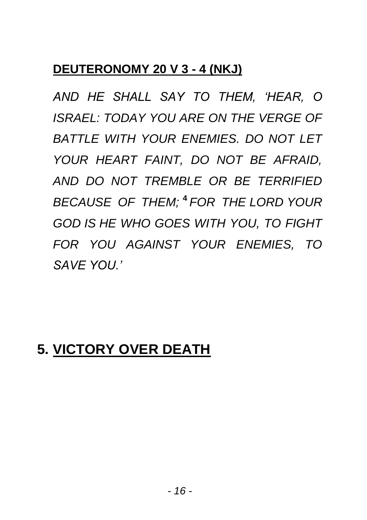#### **DEUTERONOMY 20 V 3 - 4 (NKJ)**

*AND HE SHALL SAY TO THEM, 'HEAR, O ISRAEL: TODAY YOU ARE ON THE VERGE OF BATTLE WITH YOUR ENEMIES. DO NOT LET YOUR HEART FAINT, DO NOT BE AFRAID, AND DO NOT TREMBLE OR BE TERRIFIED BECAUSE OF THEM;* **<sup>4</sup>** *FOR THE LORD YOUR GOD IS HE WHO GOES WITH YOU, TO FIGHT FOR YOU AGAINST YOUR ENEMIES, TO SAVE YOU.'*

### **5. VICTORY OVER DEATH**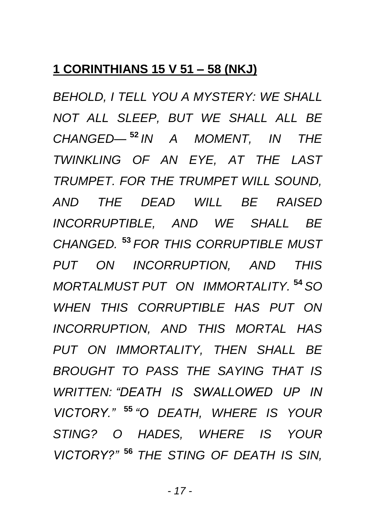#### **1 CORINTHIANS 15 V 51 – 58 (NKJ)**

*BEHOLD, I TELL YOU A MYSTERY: WE SHALL NOT ALL SLEEP, BUT WE SHALL ALL BE CHANGED—* **<sup>52</sup>** *IN A MOMENT, IN THE TWINKLING OF AN EYE, AT THE LAST TRUMPET. FOR THE TRUMPET WILL SOUND, AND THE DEAD WILL BE RAISED INCORRUPTIBLE, AND WE SHALL BE CHANGED.* **<sup>53</sup>** *FOR THIS CORRUPTIBLE MUST PUT ON INCORRUPTION, AND THIS MORTALMUST PUT ON IMMORTALITY.* **<sup>54</sup>** *SO WHEN THIS CORRUPTIBLE HAS PUT ON INCORRUPTION, AND THIS MORTAL HAS PUT ON IMMORTALITY, THEN SHALL BE BROUGHT TO PASS THE SAYING THAT IS WRITTEN: "DEATH IS SWALLOWED UP IN VICTORY."* **<sup>55</sup>** *"O DEATH, WHERE IS YOUR STING? O HADES, WHERE IS YOUR VICTORY?"* **<sup>56</sup>** *THE STING OF DEATH IS SIN,*